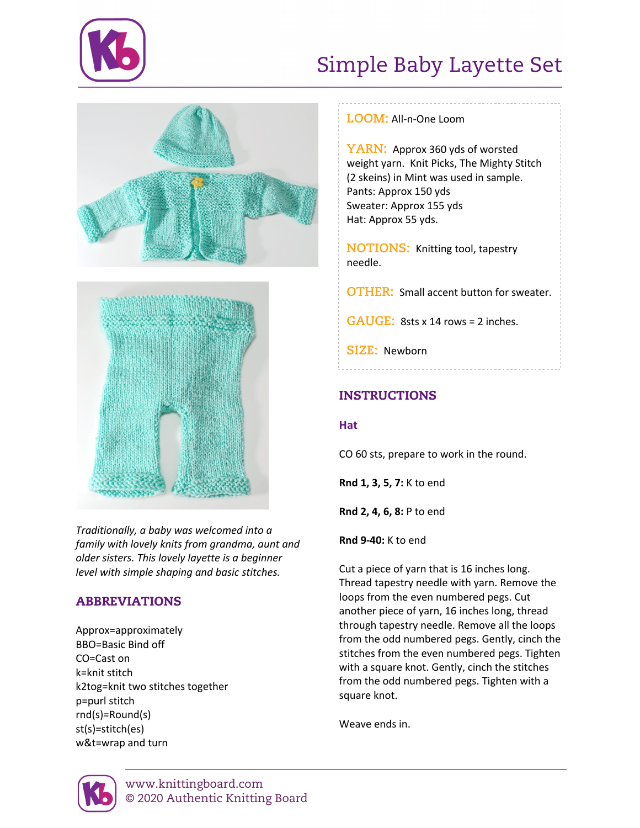

# Simple Baby Layette Set





*Traditionally, a baby was welcomed into a family with lovely knits from grandma, aunt and older sisters. This lovely layette is a beginner level with simple shaping and basic stitches.*

## ABBREVIATIONS

Approx=approximately BBO=Basic Bind off CO=Cast on k=knit stitch k2tog=knit two stitches together p=purl stitch rnd(s)=Round(s) st(s)=stitch(es) w&t=wrap and turn

## **LOOM:** All-n-One Loom

**YARN:** Approx 360 yds of worsted weight yarn. Knit Picks, The Mighty Stitch (2 skeins) in Mint was used in sample. Pants: Approx 150 yds Sweater: Approx 155 yds Hat: Approx 55 yds.

**NOTIONS:** Knitting tool, tapestry needle.

**OTHER:** Small accent button for sweater.

**GAUGE:** 8sts x 14 rows = 2 inches.

**SIZE:** Newborn

## INSTRUCTIONS

### **Hat**

CO 60 sts, prepare to work in the round.

**Rnd 1, 3, 5, 7:** K to end

**Rnd 2, 4, 6, 8:** P to end

**Rnd 9-40:** K to end

Cut a piece of yarn that is 16 inches long. Thread tapestry needle with yarn. Remove the loops from the even numbered pegs. Cut another piece of yarn, 16 inches long, thread through tapestry needle. Remove all the loops from the odd numbered pegs. Gently, cinch the stitches from the even numbered pegs. Tighten with a square knot. Gently, cinch the stitches from the odd numbered pegs. Tighten with a square knot.

Weave ends in.

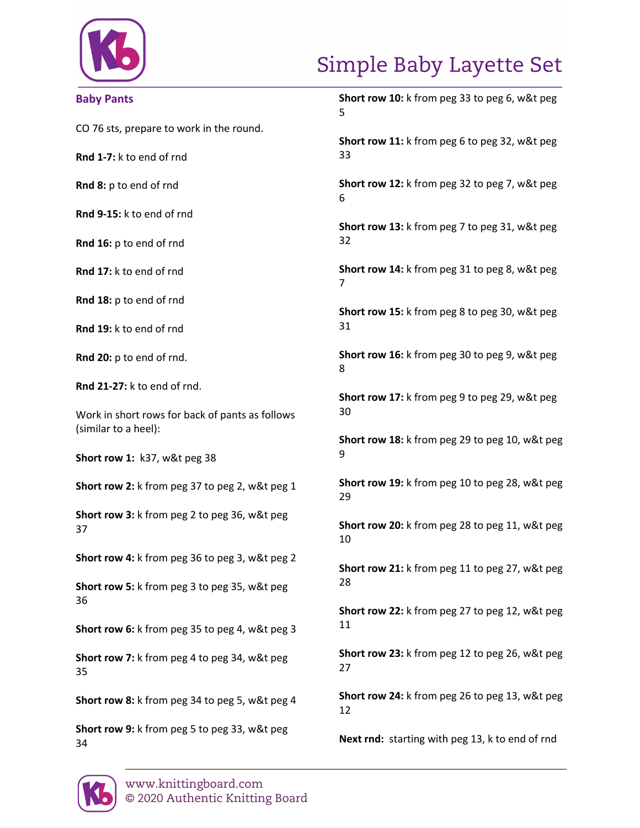

# Simple Baby Layette Set

## **Baby Pants**

CO 76 sts, prepare to work in the round.

**Rnd 1-7:** k to end of rnd

**Rnd 8:** p to end of rnd

**Rnd 9-15:** k to end of rnd

**Rnd 16:** p to end of rnd

**Rnd 17:** k to end of rnd

**Rnd 18:** p to end of rnd

**Rnd 19:** k to end of rnd

**Rnd 20:** p to end of rnd.

**Rnd 21-27:** k to end of rnd.

Work in short rows for back of pants as follows (similar to a heel):

**Short row 1:** k37, w&t peg 38

**Short row 2:** k from peg 37 to peg 2, w&t peg 1

**Short row 3:** k from peg 2 to peg 36, w&t peg 37

**Short row 4:** k from peg 36 to peg 3, w&t peg 2

**Short row 5:** k from peg 3 to peg 35, w&t peg 36

**Short row 6:** k from peg 35 to peg 4, w&t peg 3

**Short row 7:** k from peg 4 to peg 34, w&t peg 35

**Short row 8:** k from peg 34 to peg 5, w&t peg 4

**Short row 9:** k from peg 5 to peg 33, w&t peg 34

**Short row 10:** k from peg 33 to peg 6, w&t peg 5

**Short row 11:** k from peg 6 to peg 32, w&t peg 33

**Short row 12:** k from peg 32 to peg 7, w&t peg 6

**Short row 13:** k from peg 7 to peg 31, w&t peg 32

**Short row 14:** k from peg 31 to peg 8, w&t peg 7

**Short row 15:** k from peg 8 to peg 30, w&t peg 31

**Short row 16:** k from peg 30 to peg 9, w&t peg 8

**Short row 17:** k from peg 9 to peg 29, w&t peg 30

**Short row 18:** k from peg 29 to peg 10, w&t peg 9

**Short row 19:** k from peg 10 to peg 28, w&t peg 29

**Short row 20:** k from peg 28 to peg 11, w&t peg 10

**Short row 21:** k from peg 11 to peg 27, w&t peg 28

**Short row 22:** k from peg 27 to peg 12, w&t peg 11

**Short row 23:** k from peg 12 to peg 26, w&t peg 27

**Short row 24:** k from peg 26 to peg 13, w&t peg 12

**Next rnd:** starting with peg 13, k to end of rnd

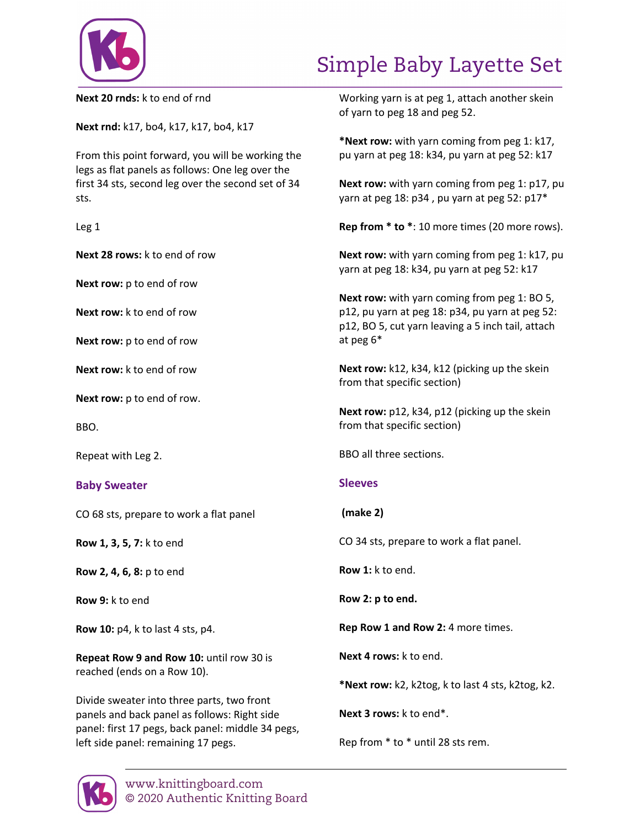

## Simple Baby Layette Set

**Next 20 rnds:** k to end of rnd

**Next rnd:** k17, bo4, k17, k17, bo4, k17

From this point forward, you will be working the legs as flat panels as follows: One leg over the first 34 sts, second leg over the second set of 34 sts.

| M.<br>۰.<br>×<br>۰. |  |
|---------------------|--|
|---------------------|--|

**Next 28 rows:** k to end of row

**Next row:** p to end of row

**Next row:** k to end of row

**Next row:** p to end of row

**Next row:** k to end of row

**Next row:** p to end of row.

BBO.

Repeat with Leg 2.

### **Baby Sweater**

CO 68 sts, prepare to work a flat panel

**Row 1, 3, 5, 7:** k to end

**Row 2, 4, 6, 8:** p to end

**Row 9:** k to end

**Row 10:** p4, k to last 4 sts, p4.

**Repeat Row 9 and Row 10:** until row 30 is reached (ends on a Row 10).

Divide sweater into three parts, two front panels and back panel as follows: Right side panel: first 17 pegs, back panel: middle 34 pegs, left side panel: remaining 17 pegs.

Working yarn is at peg 1, attach another skein of yarn to peg 18 and peg 52.

**\*Next row:** with yarn coming from peg 1: k17, pu yarn at peg 18: k34, pu yarn at peg 52: k17

**Next row:** with yarn coming from peg 1: p17, pu yarn at peg 18: p34 , pu yarn at peg 52: p17\*

**Rep from \* to \***: 10 more times (20 more rows).

**Next row:** with yarn coming from peg 1: k17, pu yarn at peg 18: k34, pu yarn at peg 52: k17

**Next row:** with yarn coming from peg 1: BO 5, p12, pu yarn at peg 18: p34, pu yarn at peg 52: p12, BO 5, cut yarn leaving a 5 inch tail, attach at peg 6\*

**Next row:** k12, k34, k12 (picking up the skein from that specific section)

**Next row:** p12, k34, p12 (picking up the skein from that specific section)

BBO all three sections.

### **Sleeves**

### **(make 2)**

CO 34 sts, prepare to work a flat panel.

**Row 1:** k to end.

**Row 2: p to end.**

**Rep Row 1 and Row 2:** 4 more times.

**Next 4 rows:** k to end.

**\*Next row:** k2, k2tog, k to last 4 sts, k2tog, k2.

**Next 3 rows:** k to end\*.

Rep from \* to \* until 28 sts rem.